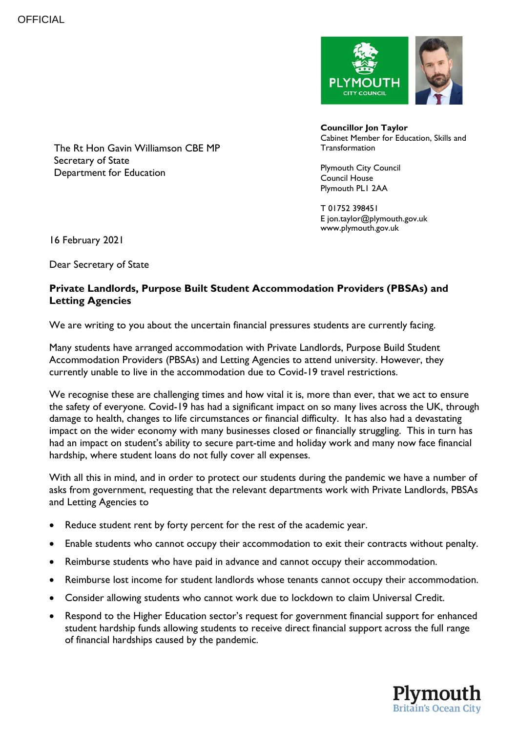

**Councillor Jon Taylor** Cabinet Member for Education, Skills and **Transformation** 

Plymouth City Council Council House Plymouth PL1 2AA

T 01752 398451 E jon.taylor@plymouth.gov.uk www.plymouth.gov.uk

The Rt Hon Gavin Williamson CBE MP Secretary of State Department for Education

16 February 2021

Dear Secretary of State

## **Private Landlords, Purpose Built Student Accommodation Providers (PBSAs) and Letting Agencies**

We are writing to you about the uncertain financial pressures students are currently facing.

Many students have arranged accommodation with Private Landlords, Purpose Build Student Accommodation Providers (PBSAs) and Letting Agencies to attend university. However, they currently unable to live in the accommodation due to Covid-19 travel restrictions.

We recognise these are challenging times and how vital it is, more than ever, that we act to ensure the safety of everyone. Covid-19 has had a significant impact on so many lives across the UK, through damage to health, changes to life circumstances or financial difficulty. It has also had a devastating impact on the wider economy with many businesses closed or financially struggling. This in turn has had an impact on student's ability to secure part-time and holiday work and many now face financial hardship, where student loans do not fully cover all expenses.

With all this in mind, and in order to protect our students during the pandemic we have a number of asks from government, requesting that the relevant departments work with Private Landlords, PBSAs and Letting Agencies to

- Reduce student rent by forty percent for the rest of the academic year.
- Enable students who cannot occupy their accommodation to exit their contracts without penalty.
- Reimburse students who have paid in advance and cannot occupy their accommodation.
- Reimburse lost income for student landlords whose tenants cannot occupy their accommodation.
- Consider allowing students who cannot work due to lockdown to claim Universal Credit.
- Respond to the Higher Education sector's request for government financial support for enhanced student hardship funds allowing students to receive direct financial support across the full range of financial hardships caused by the pandemic.